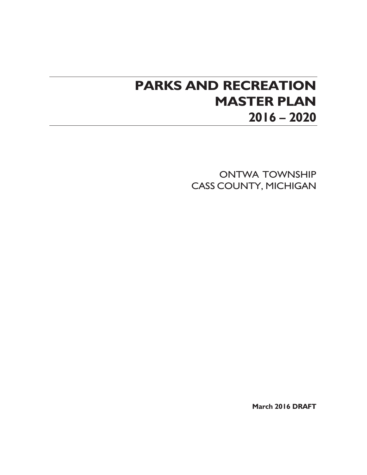# **PARKS AND RECREATION MASTER PLAN 2016 – 2020**

ONTWA TOWNSHIP CASS COUNTY, MICHIGAN

**March 2016 DRAFT**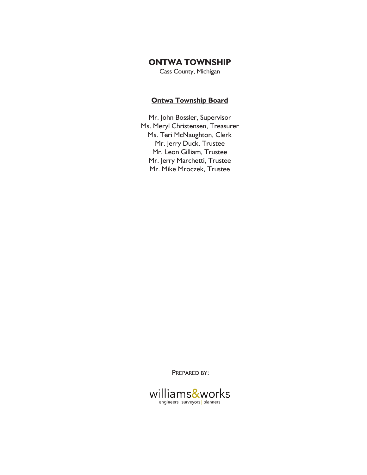### **ONTWA TOWNSHIP**

Cass County, Michigan

### **Ontwa Township Board**

Mr. John Bossler, Supervisor Ms. Meryl Christensen, Treasurer Ms. Teri McNaughton, Clerk Mr. Jerry Duck, Trustee Mr. Leon Gilliam, Trustee Mr. Jerry Marchetti, Trustee Mr. Mike Mroczek, Trustee

<sup>P</sup>REPARED BY:

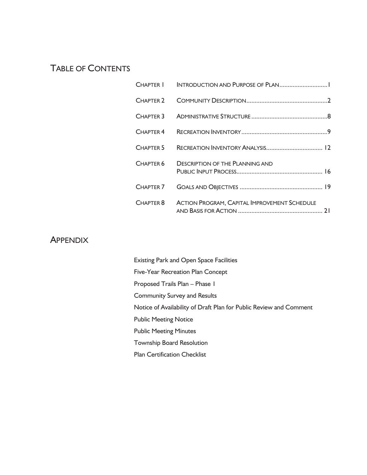## TABLE OF CONTENTS

| CHAPTER 2            |                                                     |  |
|----------------------|-----------------------------------------------------|--|
| CHAPTER 3            |                                                     |  |
| CHAPTER 4            |                                                     |  |
| CHAPTER 5            |                                                     |  |
| CHAPTER <sub>6</sub> | <b>DESCRIPTION OF THE PLANNING AND</b>              |  |
| CHAPTER 7            |                                                     |  |
| CHAPTER 8            | <b>ACTION PROGRAM, CAPITAL IMPROVEMENT SCHEDULE</b> |  |

### **APPENDIX**

| <b>Existing Park and Open Space Facilities</b>                     |
|--------------------------------------------------------------------|
| Five-Year Recreation Plan Concept                                  |
| Proposed Trails Plan - Phase I                                     |
| <b>Community Survey and Results</b>                                |
| Notice of Availability of Draft Plan for Public Review and Comment |
| <b>Public Meeting Notice</b>                                       |
| <b>Public Meeting Minutes</b>                                      |
| <b>Township Board Resolution</b>                                   |
| <b>Plan Certification Checklist</b>                                |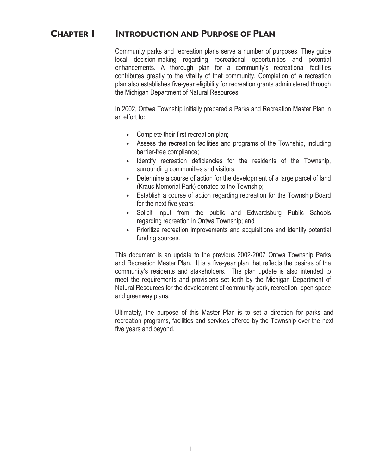### **CHAPTER 1 INTRODUCTION AND PURPOSE OF PLAN**

Community parks and recreation plans serve a number of purposes. They guide local decision-making regarding recreational opportunities and potential enhancements. A thorough plan for a community's recreational facilities contributes greatly to the vitality of that community. Completion of a recreation plan also establishes five-year eligibility for recreation grants administered through the Michigan Department of Natural Resources.

In 2002, Ontwa Township initially prepared a Parks and Recreation Master Plan in an effort to:

- Complete their first recreation plan;
- Assess the recreation facilities and programs of the Township, including barrier-free compliance;
- **Ƹ** Identify recreation deficiencies for the residents of the Township, surrounding communities and visitors;
- Determine a course of action for the development of a large parcel of land (Kraus Memorial Park) donated to the Township;
- Establish a course of action regarding recreation for the Township Board for the next five years;
- Solicit input from the public and Edwardsburg Public Schools regarding recreation in Ontwa Township; and
- **Prioritize recreation improvements and acquisitions and identify potential** funding sources.

This document is an update to the previous 2002-2007 Ontwa Township Parks and Recreation Master Plan. It is a five-year plan that reflects the desires of the community's residents and stakeholders. The plan update is also intended to meet the requirements and provisions set forth by the Michigan Department of Natural Resources for the development of community park, recreation, open space and greenway plans.

Ultimately, the purpose of this Master Plan is to set a direction for parks and recreation programs, facilities and services offered by the Township over the next five years and beyond.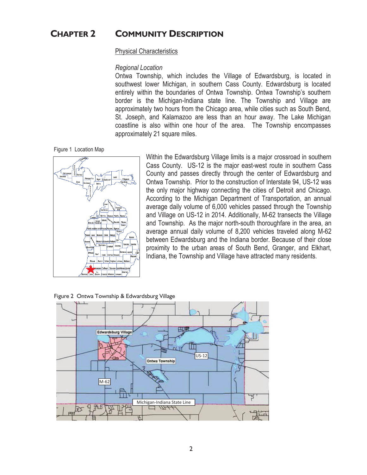### **CHAPTER 2 COMMUNITY DESCRIPTION**

### Physical Characteristics

### *Regional Location*

Ontwa Township, which includes the Village of Edwardsburg, is located in southwest lower Michigan, in southern Cass County. Edwardsburg is located entirely within the boundaries of Ontwa Township. Ontwa Township's southern border is the Michigan-Indiana state line. The Township and Village are approximately two hours from the Chicago area, while cities such as South Bend, St. Joseph, and Kalamazoo are less than an hour away. The Lake Michigan coastline is also within one hour of the area. The Township encompasses approximately 21 square miles.

Figure 1 Location Map



Within the Edwardsburg Village limits is a major crossroad in southern Cass County. US-12 is the major east-west route in southern Cass County and passes directly through the center of Edwardsburg and Ontwa Township. Prior to the construction of Interstate 94, US-12 was the only major highway connecting the cities of Detroit and Chicago. According to the Michigan Department of Transportation, an annual average daily volume of 6,000 vehicles passed through the Township and Village on US-12 in 2014. Additionally, M-62 transects the Village and Township. As the major north-south thoroughfare in the area, an average annual daily volume of 8,200 vehicles traveled along M-62 between Edwardsburg and the Indiana border. Because of their close proximity to the urban areas of South Bend, Granger, and Elkhart, Indiana, the Township and Village have attracted many residents.



Figure 2 Ontwa Township & Edwardsburg Village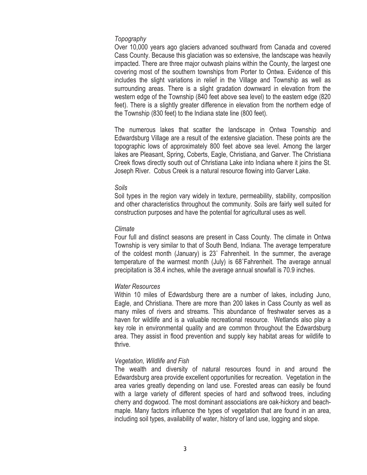### *Topography*

Over 10,000 years ago glaciers advanced southward from Canada and covered Cass County. Because this glaciation was so extensive, the landscape was heavily impacted. There are three major outwash plains within the County, the largest one covering most of the southern townships from Porter to Ontwa. Evidence of this includes the slight variations in relief in the Village and Township as well as surrounding areas. There is a slight gradation downward in elevation from the western edge of the Township (840 feet above sea level) to the eastern edge (820 feet). There is a slightly greater difference in elevation from the northern edge of the Township (830 feet) to the Indiana state line (800 feet).

The numerous lakes that scatter the landscape in Ontwa Township and Edwardsburg Village are a result of the extensive glaciation. These points are the topographic lows of approximately 800 feet above sea level. Among the larger lakes are Pleasant, Spring, Coberts, Eagle, Christiana, and Garver. The Christiana Creek flows directly south out of Christiana Lake into Indiana where it joins the St. Joseph River. Cobus Creek is a natural resource flowing into Garver Lake.

### *Soils*

Soil types in the region vary widely in texture, permeability, stability, composition and other characteristics throughout the community. Soils are fairly well suited for construction purposes and have the potential for agricultural uses as well.

### *Climate*

Four full and distinct seasons are present in Cass County. The climate in Ontwa Township is very similar to that of South Bend, Indiana. The average temperature of the coldest month (January) is  $23^\circ$  Fahrenheit. In the summer, the average temperature of the warmest month (July) is 68°Fahrenheit. The average annual precipitation is 38.4 inches, while the average annual snowfall is 70.9 inches.

### *Water Resources*

Within 10 miles of Edwardsburg there are a number of lakes, including Juno, Eagle, and Christiana. There are more than 200 lakes in Cass County as well as many miles of rivers and streams. This abundance of freshwater serves as a haven for wildlife and is a valuable recreational resource. Wetlands also play a key role in environmental quality and are common throughout the Edwardsburg area. They assist in flood prevention and supply key habitat areas for wildlife to thrive.

### *Vegetation, Wildlife and Fish*

The wealth and diversity of natural resources found in and around the Edwardsburg area provide excellent opportunities for recreation. Vegetation in the area varies greatly depending on land use. Forested areas can easily be found with a large variety of different species of hard and softwood trees, including cherry and dogwood. The most dominant associations are oak-hickory and beachmaple. Many factors influence the types of vegetation that are found in an area, including soil types, availability of water, history of land use, logging and slope.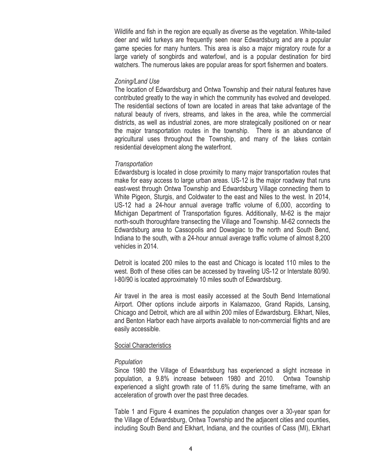Wildlife and fish in the region are equally as diverse as the vegetation. White-tailed deer and wild turkeys are frequently seen near Edwardsburg and are a popular game species for many hunters. This area is also a major migratory route for a large variety of songbirds and waterfowl, and is a popular destination for bird watchers. The numerous lakes are popular areas for sport fishermen and boaters.

### *Zoning/Land Use*

The location of Edwardsburg and Ontwa Township and their natural features have contributed greatly to the way in which the community has evolved and developed. The residential sections of town are located in areas that take advantage of the natural beauty of rivers, streams, and lakes in the area, while the commercial districts, as well as industrial zones, are more strategically positioned on or near the major transportation routes in the township. There is an abundance of agricultural uses throughout the Township, and many of the lakes contain residential development along the waterfront.

### *Transportation*

Edwardsburg is located in close proximity to many major transportation routes that make for easy access to large urban areas. US-12 is the major roadway that runs east-west through Ontwa Township and Edwardsburg Village connecting them to White Pigeon, Sturgis, and Coldwater to the east and Niles to the west. In 2014, US-12 had a 24-hour annual average traffic volume of 6,000, according to Michigan Department of Transportation figures. Additionally, M-62 is the major north-south thoroughfare transecting the Village and Township. M-62 connects the Edwardsburg area to Cassopolis and Dowagiac to the north and South Bend, Indiana to the south, with a 24-hour annual average traffic volume of almost 8,200 vehicles in 2014.

Detroit is located 200 miles to the east and Chicago is located 110 miles to the west. Both of these cities can be accessed by traveling US-12 or Interstate 80/90. I-80/90 is located approximately 10 miles south of Edwardsburg.

Air travel in the area is most easily accessed at the South Bend International Airport. Other options include airports in Kalamazoo, Grand Rapids, Lansing, Chicago and Detroit, which are all within 200 miles of Edwardsburg. Elkhart, Niles, and Benton Harbor each have airports available to non-commercial flights and are easily accessible.

### **Social Characteristics**

### *Population*

Since 1980 the Village of Edwardsburg has experienced a slight increase in population, a 9.8% increase between 1980 and 2010. Ontwa Township experienced a slight growth rate of 11.6% during the same timeframe, with an acceleration of growth over the past three decades.

Table 1 and Figure 4 examines the population changes over a 30-year span for the Village of Edwardsburg, Ontwa Township and the adjacent cities and counties, including South Bend and Elkhart, Indiana, and the counties of Cass (MI), Elkhart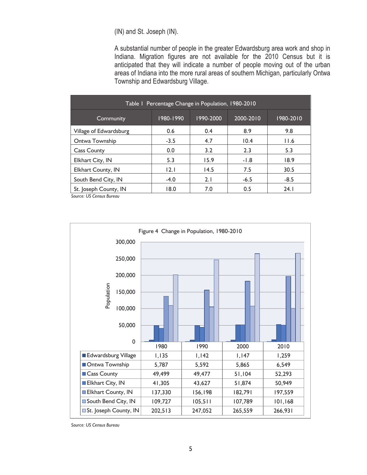(IN) and St. Joseph (IN).

A substantial number of people in the greater Edwardsburg area work and shop in Indiana. Migration figures are not available for the 2010 Census but it is anticipated that they will indicate a number of people moving out of the urban areas of Indiana into the more rural areas of southern Michigan, particularly Ontwa Township and Edwardsburg Village.

| Table 1 Percentage Change in Population, 1980-2010 |           |           |           |           |
|----------------------------------------------------|-----------|-----------|-----------|-----------|
| Community                                          | 1980-1990 | 1990-2000 | 2000-2010 | 1980-2010 |
| Village of Edwardsburg                             | 0.6       | 0.4       | 8.9       | 9.8       |
| Ontwa Township                                     | $-3.5$    | 4.7       | 10.4      | 11.6      |
| <b>Cass County</b>                                 | 0.0       | 3.2       | 2.3       | 5.3       |
| Elkhart City, IN                                   | 5.3       | 15.9      | $-1.8$    | 18.9      |
| Elkhart County, IN                                 | 2.1       | 14.5      | 7.5       | 30.5      |
| South Bend City, IN                                | $-4.0$    | 2.1       | $-6.5$    | $-8.5$    |
| St. Joseph County, IN                              | 18.0      | 7.0       | 0.5       | 24.1      |

*Source: US Census Bureau* 



*Source: US Census Bureau*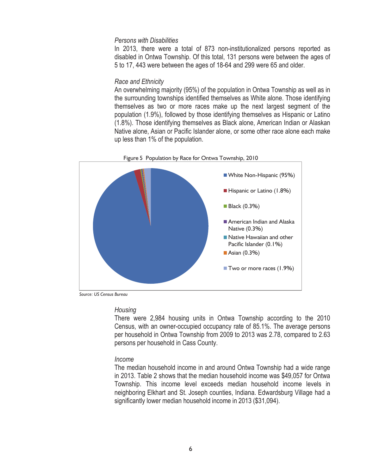### *Persons with Disabilities*

In 2013, there were a total of 873 non-institutionalized persons reported as disabled in Ontwa Township. Of this total, 131 persons were between the ages of 5 to 17, 443 were between the ages of 18-64 and 299 were 65 and older.

### *Race and Ethnicity*

An overwhelming majority (95%) of the population in Ontwa Township as well as in the surrounding townships identified themselves as White alone. Those identifying themselves as two or more races make up the next largest segment of the population (1.9%), followed by those identifying themselves as Hispanic or Latino (1.8%). Those identifying themselves as Black alone, American Indian or Alaskan Native alone, Asian or Pacific Islander alone, or some other race alone each make up less than 1% of the population.



*Source: US Census Bureau* 

#### *Housing*

There were 2,984 housing units in Ontwa Township according to the 2010 Census, with an owner-occupied occupancy rate of 85.1%. The average persons per household in Ontwa Township from 2009 to 2013 was 2.78, compared to 2.63 persons per household in Cass County.

### *Income*

The median household income in and around Ontwa Township had a wide range in 2013. Table 2 shows that the median household income was \$49,057 for Ontwa Township. This income level exceeds median household income levels in neighboring Elkhart and St. Joseph counties, Indiana. Edwardsburg Village had a significantly lower median household income in 2013 (\$31,094).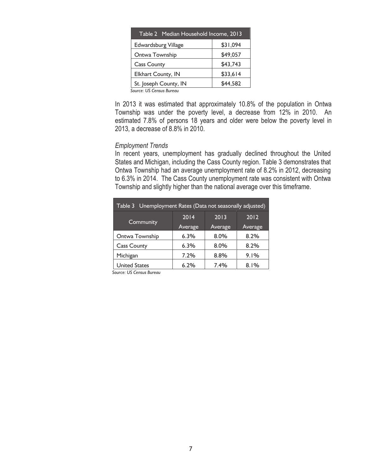| Table 2 Median Household Income, 2013 |          |  |
|---------------------------------------|----------|--|
| <b>Edwardsburg Village</b>            | \$31,094 |  |
| Ontwa Township                        | \$49,057 |  |
| <b>Cass County</b>                    | \$43,743 |  |
| Elkhart County, IN                    | \$33,614 |  |
| St. Joseph County, IN                 | \$44,582 |  |
|                                       |          |  |

*Source: US Census Bureau* 

In 2013 it was estimated that approximately 10.8% of the population in Ontwa Township was under the poverty level, a decrease from 12% in 2010. An estimated 7.8% of persons 18 years and older were below the poverty level in 2013, a decrease of 8.8% in 2010.

### *Employment Trends*

In recent years, unemployment has gradually declined throughout the United States and Michigan, including the Cass County region. Table 3 demonstrates that Ontwa Township had an average unemployment rate of 8.2% in 2012, decreasing to 6.3% in 2014. The Cass County unemployment rate was consistent with Ontwa Township and slightly higher than the national average over this timeframe.

| Unemployment Rates (Data not seasonally adjusted)<br>Table 3 |         |         |         |
|--------------------------------------------------------------|---------|---------|---------|
|                                                              | 2014    | 2013    | 2012    |
| Community                                                    | Average | Average | Average |
| Ontwa Township                                               | 6.3%    | 8.0%    | 8.2%    |
| <b>Cass County</b>                                           | 6.3%    | 8.0%    | 8.2%    |
| Michigan                                                     | 7.2%    | 8.8%    | 9.1%    |
| <b>United States</b>                                         | 6.2%    | 7.4%    | 8.1%    |

*Source: US Census Bureau*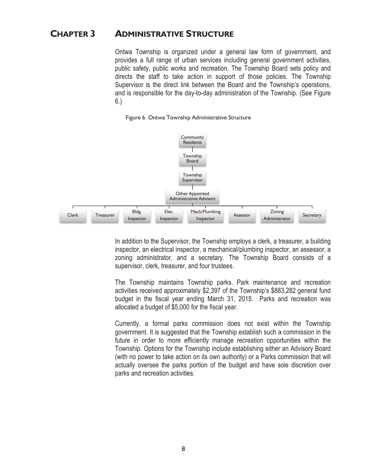### **CHAPTER 3 ADMINISTRATIVE STRUCTURE**

Ontwa Township is organized under a general law form of government, and provides a full range of urban services including general government activities, public safety, public works and recreation. The Township Board sets policy and directs the staff to take action in support of those policies. The Township Supervisor is the direct link between the Board and the Township's operations, and is responsible for the day-to-day administration of the Township. (See Figure 6.)



Figure 6 Ontwa Township Administrative Structure

In addition to the Supervisor, the Township employs a clerk, a treasurer, a building inspector, an electrical inspector, a mechanical/plumbing inspector, an assessor, a zoning administrator, and a secretary. The Township Board consists of a supervisor, clerk, treasurer, and four trustees.

The Township maintains Township parks. Park maintenance and recreation activities received approximately \$2,397 of the Township's \$883,282 general fund budget in the fiscal year ending March 31, 2015. Parks and recreation was allocated a budget of \$5,000 for the fiscal year.

Currently, a formal parks commission does not exist within the Township government. It is suggested that the Township establish such a commission in the future in order to more efficiently manage recreation opportunities within the Township. Options for the Township include establishing either an Advisory Board (with no power to take action on its own authority) or a Parks commission that will actually oversee the parks portion of the budget and have sole discretion over parks and recreation activities.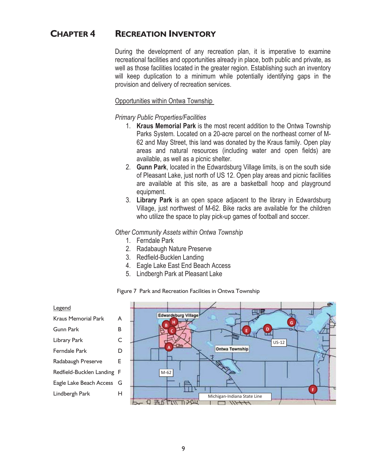### **CHAPTER 4 RECREATION INVENTORY**

During the development of any recreation plan, it is imperative to examine recreational facilities and opportunities already in place, both public and private, as well as those facilities located in the greater region. Establishing such an inventory will keep duplication to a minimum while potentially identifying gaps in the provision and delivery of recreation services.

### Opportunities within Ontwa Township

*Primary Public Properties/Facilities*

- 1. **Kraus Memorial Park** is the most recent addition to the Ontwa Township Parks System. Located on a 20-acre parcel on the northeast corner of M-62 and May Street, this land was donated by the Kraus family. Open play areas and natural resources (including water and open fields) are available, as well as a picnic shelter.
- 2. **Gunn Park**, located in the Edwardsburg Village limits, is on the south side of Pleasant Lake, just north of US 12. Open play areas and picnic facilities are available at this site, as are a basketball hoop and playground equipment.
- 3. **Library Park** is an open space adjacent to the library in Edwardsburg Village, just northwest of M-62. Bike racks are available for the children who utilize the space to play pick-up games of football and soccer.

### *Other Community Assets within Ontwa Township*

- 1. Ferndale Park
- 2. Radabaugh Nature Preserve
- 3. Redfield-Bucklen Landing
- 4. Eagle Lake East End Beach Access
- 5. Lindbergh Park at Pleasant Lake

#### Figure 7 Park and Recreation Facilities in Ontwa Township

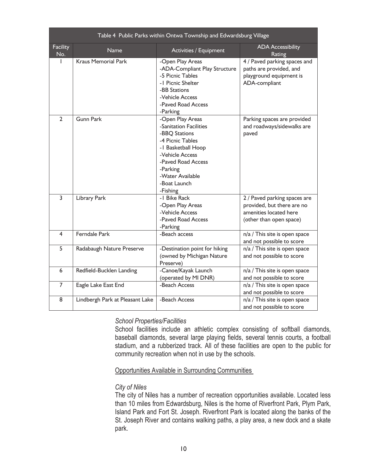| Table 4 Public Parks within Ontwa Township and Edwardsburg Village |                                 |                                                                                                                                                                                                            |                                                                                                                 |
|--------------------------------------------------------------------|---------------------------------|------------------------------------------------------------------------------------------------------------------------------------------------------------------------------------------------------------|-----------------------------------------------------------------------------------------------------------------|
| <b>Facility</b><br>No.                                             | Name                            | Activities / Equipment                                                                                                                                                                                     | <b>ADA Accessibility</b><br>Rating                                                                              |
|                                                                    | <b>Kraus Memorial Park</b>      | -Open Play Areas<br>-ADA-Compliant Play Structure<br>-5 Picnic Tables<br>-1 Picnic Shelter<br>-BB Stations<br>-Vehicle Access<br>-Paved Road Access<br>-Parking                                            | 4 / Paved parking spaces and<br>paths are provided, and<br>playground equipment is<br>ADA-compliant             |
| $\overline{2}$                                                     | <b>Gunn Park</b>                | -Open Play Areas<br>-Sanitation Facilities<br>-BBO Stations<br>-4 Picnic Tables<br>-1 Basketball Hoop<br>-Vehicle Access<br>-Paved Road Access<br>-Parking<br>-Water Available<br>-Boat Launch<br>-Fishing | Parking spaces are provided<br>and roadways/sidewalks are<br>paved                                              |
| 3                                                                  | Library Park                    | -1 Bike Rack<br>-Open Play Areas<br>-Vehicle Access<br>-Paved Road Access<br>-Parking                                                                                                                      | 2 / Paved parking spaces are<br>provided, but there are no<br>amenities located here<br>(other than open space) |
| $\overline{4}$                                                     | <b>Ferndale Park</b>            | -Beach access                                                                                                                                                                                              | n/a / This site is open space<br>and not possible to score                                                      |
| 5                                                                  | Radabaugh Nature Preserve       | -Destination point for hiking<br>(owned by Michigan Nature<br>Preserve)                                                                                                                                    | n/a / This site is open space<br>and not possible to score                                                      |
| 6                                                                  | Redfield-Bucklen Landing        | -Canoe/Kayak Launch<br>(operated by MI DNR)                                                                                                                                                                | n/a / This site is open space<br>and not possible to score                                                      |
| $\overline{7}$                                                     | Eagle Lake East End             | -Beach Access                                                                                                                                                                                              | n/a / This site is open space<br>and not possible to score                                                      |
| 8                                                                  | Lindbergh Park at Pleasant Lake | -Beach Access                                                                                                                                                                                              | n/a / This site is open space<br>and not possible to score                                                      |

### *School Properties/Facilities*

School facilities include an athletic complex consisting of softball diamonds, baseball diamonds, several large playing fields, several tennis courts, a football stadium, and a rubberized track. All of these facilities are open to the public for community recreation when not in use by the schools.

### Opportunities Available in Surrounding Communities

### *City of Niles*

The city of Niles has a number of recreation opportunities available. Located less than 10 miles from Edwardsburg, Niles is the home of Riverfront Park, Plym Park, Island Park and Fort St. Joseph. Riverfront Park is located along the banks of the St. Joseph River and contains walking paths, a play area, a new dock and a skate park.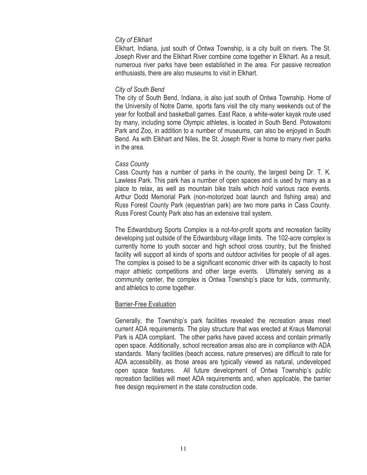### *City of Elkhart*

Elkhart, Indiana, just south of Ontwa Township, is a city built on rivers. The St. Joseph River and the Elkhart River combine come together in Elkhart. As a result, numerous river parks have been established in the area. For passive recreation enthusiasts, there are also museums to visit in Elkhart.

### *City of South Bend*

The city of South Bend, Indiana, is also just south of Ontwa Township. Home of the University of Notre Dame, sports fans visit the city many weekends out of the year for football and basketball games. East Race, a white-water kayak route used by many, including some Olympic athletes, is located in South Bend. Potowatomi Park and Zoo, in addition to a number of museums, can also be enjoyed in South Bend. As with Elkhart and Niles, the St. Joseph River is home to many river parks in the area.

### *Cass County*

Cass County has a number of parks in the county, the largest being Dr. T. K. Lawless Park. This park has a number of open spaces and is used by many as a place to relax, as well as mountain bike trails which hold various race events. Arthur Dodd Memorial Park (non-motorized boat launch and fishing area) and Russ Forest County Park (equestrian park) are two more parks in Cass County. Russ Forest County Park also has an extensive trail system.

The Edwardsburg Sports Complex is a not-for-profit sports and recreation facility developing just outside of the Edwardsburg village limits. The 102-acre complex is currently home to youth soccer and high school cross country, but the finished facility will support all kinds of sports and outdoor activities for people of all ages. The complex is poised to be a significant economic driver with its capacity to host major athletic competitions and other large events. Ultimately serving as a community center, the complex is Ontwa Township's place for kids, community, and athletics to come together.

### Barrier-Free Evaluation

Generally, the Township's park facilities revealed the recreation areas meet current ADA requirements. The play structure that was erected at Kraus Memorial Park is ADA compliant. The other parks have paved access and contain primarily open space. Additionally, school recreation areas also are in compliance with ADA standards. Many facilities (beach access, nature preserves) are difficult to rate for ADA accessibility, as those areas are typically viewed as natural, undeveloped open space features. All future development of Ontwa Township's public recreation facilities will meet ADA requirements and, when applicable, the barrier free design requirement in the state construction code.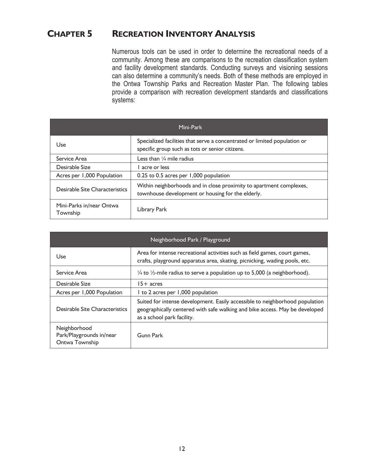### **CHAPTER 5 RECREATION INVENTORY ANALYSIS**

Numerous tools can be used in order to determine the recreational needs of a community. Among these are comparisons to the recreation classification system and facility development standards. Conducting surveys and visioning sessions can also determine a community's needs. Both of these methods are employed in the Ontwa Township Parks and Recreation Master Plan. The following tables provide a comparison with recreation development standards and classifications systems:

| Mini-Park                            |                                                                                                                              |  |
|--------------------------------------|------------------------------------------------------------------------------------------------------------------------------|--|
| Use                                  | Specialized facilities that serve a concentrated or limited population or<br>specific group such as tots or senior citizens. |  |
| Service Area                         | Less than $\frac{1}{4}$ mile radius                                                                                          |  |
| Desirable Size                       | l acre or less                                                                                                               |  |
| Acres per 1,000 Population           | 0.25 to 0.5 acres per 1,000 population                                                                                       |  |
| Desirable Site Characteristics       | Within neighborhoods and in close proximity to apartment complexes,<br>townhouse development or housing for the elderly.     |  |
| Mini-Parks in/near Ontwa<br>Township | Library Park                                                                                                                 |  |

| Neighborhood Park / Playground                             |                                                                                                                                                                                           |  |
|------------------------------------------------------------|-------------------------------------------------------------------------------------------------------------------------------------------------------------------------------------------|--|
| Use                                                        | Area for intense recreational activities such as field games, court games,<br>crafts, playground apparatus area, skating, picnicking, wading pools, etc.                                  |  |
| Service Area                                               | $\frac{1}{4}$ to $\frac{1}{2}$ -mile radius to serve a population up to 5,000 (a neighborhood).                                                                                           |  |
| Desirable Size                                             | 15+ acres                                                                                                                                                                                 |  |
| Acres per 1,000 Population                                 | I to 2 acres per 1,000 population                                                                                                                                                         |  |
| Desirable Site Characteristics                             | Suited for intense development. Easily accessible to neighborhood population<br>geographically centered with safe walking and bike access. May be developed<br>as a school park facility. |  |
| Neighborhood<br>Park/Playgrounds in/near<br>Ontwa Township | <b>Gunn Park</b>                                                                                                                                                                          |  |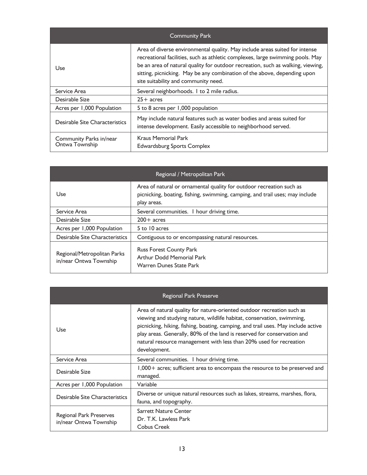| <b>Community Park</b>                     |                                                                                                                                                                                                                                                                                                                                                                      |  |
|-------------------------------------------|----------------------------------------------------------------------------------------------------------------------------------------------------------------------------------------------------------------------------------------------------------------------------------------------------------------------------------------------------------------------|--|
| Use                                       | Area of diverse environmental quality. May include areas suited for intense<br>recreational facilities, such as athletic complexes, large swimming pools. May<br>be an area of natural quality for outdoor recreation, such as walking, viewing,<br>sitting, picnicking. May be any combination of the above, depending upon<br>site suitability and community need. |  |
| Service Area                              | Several neighborhoods. I to 2 mile radius.                                                                                                                                                                                                                                                                                                                           |  |
| Desirable Size                            | $25+$ acres                                                                                                                                                                                                                                                                                                                                                          |  |
| Acres per 1,000 Population                | 5 to 8 acres per 1,000 population                                                                                                                                                                                                                                                                                                                                    |  |
| Desirable Site Characteristics            | May include natural features such as water bodies and areas suited for<br>intense development. Easily accessible to neighborhood served.                                                                                                                                                                                                                             |  |
| Community Parks in/near<br>Ontwa Township | Kraus Memorial Park<br><b>Edwardsburg Sports Complex</b>                                                                                                                                                                                                                                                                                                             |  |

| Regional / Metropolitan Park                          |                                                                                                                                                                     |  |
|-------------------------------------------------------|---------------------------------------------------------------------------------------------------------------------------------------------------------------------|--|
| Use                                                   | Area of natural or ornamental quality for outdoor recreation such as<br>picnicking, boating, fishing, swimming, camping, and trail uses; may include<br>play areas. |  |
| Service Area                                          | Several communities. I hour driving time.                                                                                                                           |  |
| Desirable Size                                        | $200+$ acres                                                                                                                                                        |  |
| Acres per 1,000 Population                            | 5 to 10 acres                                                                                                                                                       |  |
| Desirable Site Characteristics                        | Contiguous to or encompassing natural resources.                                                                                                                    |  |
| Regional/Metropolitan Parks<br>in/near Ontwa Township | <b>Russ Forest County Park</b><br><b>Arthur Dodd Memorial Park</b><br><b>Warren Dunes State Park</b>                                                                |  |

| Regional Park Preserve                            |                                                                                                                                                                                                                                                                                                                                                                                                        |  |
|---------------------------------------------------|--------------------------------------------------------------------------------------------------------------------------------------------------------------------------------------------------------------------------------------------------------------------------------------------------------------------------------------------------------------------------------------------------------|--|
| Use                                               | Area of natural quality for nature-oriented outdoor recreation such as<br>viewing and studying nature, wildlife habitat, conservation, swimming,<br>picnicking, hiking, fishing, boating, camping, and trail uses. May include active<br>play areas. Generally, 80% of the land is reserved for conservation and<br>natural resource management with less than 20% used for recreation<br>development. |  |
| Service Area                                      | Several communities. I hour driving time.                                                                                                                                                                                                                                                                                                                                                              |  |
| Desirable Size                                    | 1,000 + acres; sufficient area to encompass the resource to be preserved and<br>managed.                                                                                                                                                                                                                                                                                                               |  |
| Acres per 1,000 Population                        | Variable                                                                                                                                                                                                                                                                                                                                                                                               |  |
| Desirable Site Characteristics                    | Diverse or unique natural resources such as lakes, streams, marshes, flora,<br>fauna, and topography.                                                                                                                                                                                                                                                                                                  |  |
| Regional Park Preserves<br>in/near Ontwa Township | <b>Sarrett Nature Center</b><br>Dr. T.K. Lawless Park<br>Cobus Creek                                                                                                                                                                                                                                                                                                                                   |  |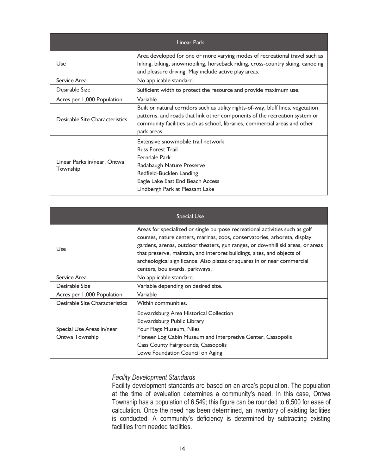| <b>Linear Park</b>                      |                                                                                                                                                                                                                                                              |  |
|-----------------------------------------|--------------------------------------------------------------------------------------------------------------------------------------------------------------------------------------------------------------------------------------------------------------|--|
| Use                                     | Area developed for one or more varying modes of recreational travel such as<br>hiking, biking, snowmobiling, horseback riding, cross-country skiing, canoeing<br>and pleasure driving. May include active play areas.                                        |  |
| Service Area                            | No applicable standard.                                                                                                                                                                                                                                      |  |
| Desirable Size                          | Sufficient width to protect the resource and provide maximum use.                                                                                                                                                                                            |  |
| Acres per 1,000 Population              | Variable                                                                                                                                                                                                                                                     |  |
| Desirable Site Characteristics          | Built or natural corridors such as utility rights-of-way, bluff lines, vegetation<br>patterns, and roads that link other components of the recreation system or<br>community facilities such as school, libraries, commercial areas and other<br>park areas. |  |
| Linear Parks in/near, Ontwa<br>Township | Extensive snowmobile trail network<br><b>Russ Forest Trail</b><br>Ferndale Park<br>Radabaugh Nature Preserve<br>Redfield-Bucklen Landing<br>Eagle Lake East End Beach Access<br>Lindbergh Park at Pleasant Lake                                              |  |

| <b>Special Use</b>                          |                                                                                                                                                                                                                                                                                                                                                                                                                                      |  |  |  |
|---------------------------------------------|--------------------------------------------------------------------------------------------------------------------------------------------------------------------------------------------------------------------------------------------------------------------------------------------------------------------------------------------------------------------------------------------------------------------------------------|--|--|--|
| Use                                         | Areas for specialized or single purpose recreational activities such as golf<br>courses, nature centers, marinas, zoos, conservatories, arboreta, display<br>gardens, arenas, outdoor theaters, gun ranges, or downhill ski areas, or areas<br>that preserve, maintain, and interpret buildings, sites, and objects of<br>archeological significance. Also plazas or squares in or near commercial<br>centers, boulevards, parkways. |  |  |  |
| Service Area                                | No applicable standard.                                                                                                                                                                                                                                                                                                                                                                                                              |  |  |  |
| Desirable Size                              | Variable depending on desired size.                                                                                                                                                                                                                                                                                                                                                                                                  |  |  |  |
| Acres per 1,000 Population                  | Variable                                                                                                                                                                                                                                                                                                                                                                                                                             |  |  |  |
| Desirable Site Characteristics              | Within communities.                                                                                                                                                                                                                                                                                                                                                                                                                  |  |  |  |
| Special Use Areas in/near<br>Ontwa Township | Edwardsburg Area Historical Collection<br>Edwardsburg Public Library<br>Four Flags Museum, Niles<br>Pioneer Log Cabin Museum and Interpretive Center, Cassopolis<br>Cass County Fairgrounds, Cassopolis<br>Lowe Foundation Council on Aging                                                                                                                                                                                          |  |  |  |

### *Facility Development Standards*

Facility development standards are based on an area's population. The population at the time of evaluation determines a community's need. In this case, Ontwa Township has a population of 6,549; this figure can be rounded to 6,500 for ease of calculation. Once the need has been determined, an inventory of existing facilities is conducted. A community's deficiency is determined by subtracting existing facilities from needed facilities.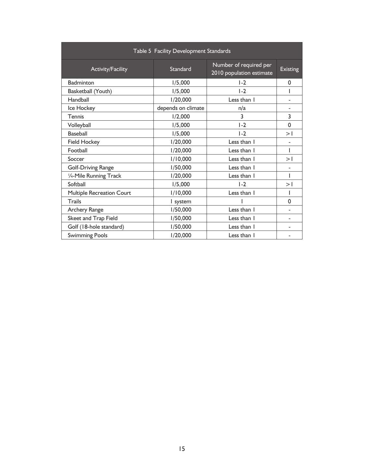| Table 5 Facility Development Standards |                    |                                                    |                 |  |  |  |
|----------------------------------------|--------------------|----------------------------------------------------|-----------------|--|--|--|
| Activity/Facility                      | Standard           | Number of required per<br>2010 population estimate | <b>Existing</b> |  |  |  |
| <b>Badminton</b>                       | 1/5,000            | $1-2$                                              | $\Omega$        |  |  |  |
| Basketball (Youth)                     | 1/5,000            | $1-2$                                              |                 |  |  |  |
| Handball                               | 1/20,000           | Less than I                                        |                 |  |  |  |
| Ice Hockey                             | depends on climate | n/a                                                |                 |  |  |  |
| Tennis                                 | 1/2,000            | 3                                                  | 3               |  |  |  |
| Volleyball                             | 1/5,000            | $1-2$                                              | $\Omega$        |  |  |  |
| <b>Baseball</b>                        | 1/5,000            | $1-2$                                              | >1              |  |  |  |
| <b>Field Hockey</b>                    | 1/20,000           | Less than I                                        |                 |  |  |  |
| Football                               | 1/20,000           | Less than I                                        |                 |  |  |  |
| Soccer                                 | 1/10,000           | Less than I                                        | >1              |  |  |  |
| <b>Golf-Driving Range</b>              | 1/50,000           | Less than I                                        |                 |  |  |  |
| 1/4-Mile Running Track                 | 1/20,000           | Less than I                                        |                 |  |  |  |
| Softball                               | 1/5,000            | $1-2$                                              | >1              |  |  |  |
| <b>Multiple Recreation Court</b>       | 1/10,000           | Less than I                                        |                 |  |  |  |
| Trails                                 | I system           |                                                    | $\Omega$        |  |  |  |
| Archery Range                          | 1/50,000           | Less than I                                        |                 |  |  |  |
| Skeet and Trap Field                   | 1/50,000           | Less than I                                        |                 |  |  |  |
| Golf (18-hole standard)                | 1/50,000           | Less than I                                        |                 |  |  |  |
| <b>Swimming Pools</b>                  | 1/20,000           | Less than I                                        |                 |  |  |  |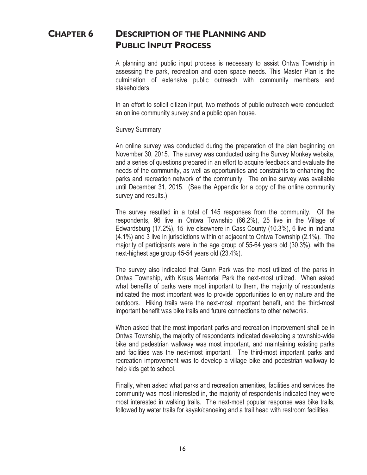### **CHAPTER 6 DESCRIPTION OF THE PLANNING AND PUBLIC INPUT PROCESS**

A planning and public input process is necessary to assist Ontwa Township in assessing the park, recreation and open space needs. This Master Plan is the culmination of extensive public outreach with community members and stakeholders.

In an effort to solicit citizen input, two methods of public outreach were conducted: an online community survey and a public open house.

### Survey Summary

An online survey was conducted during the preparation of the plan beginning on November 30, 2015. The survey was conducted using the Survey Monkey website, and a series of questions prepared in an effort to acquire feedback and evaluate the needs of the community, as well as opportunities and constraints to enhancing the parks and recreation network of the community. The online survey was available until December 31, 2015. (See the Appendix for a copy of the online community survey and results.)

The survey resulted in a total of 145 responses from the community. Of the respondents, 96 live in Ontwa Township (66.2%), 25 live in the Village of Edwardsburg (17.2%), 15 live elsewhere in Cass County (10.3%), 6 live in Indiana (4.1%) and 3 live in jurisdictions within or adjacent to Ontwa Township (2.1%). The majority of participants were in the age group of 55-64 years old (30.3%), with the next-highest age group 45-54 years old (23.4%).

The survey also indicated that Gunn Park was the most utilized of the parks in Ontwa Township, with Kraus Memorial Park the next-most utilized. When asked what benefits of parks were most important to them, the majority of respondents indicated the most important was to provide opportunities to enjoy nature and the outdoors. Hiking trails were the next-most important benefit, and the third-most important benefit was bike trails and future connections to other networks.

When asked that the most important parks and recreation improvement shall be in Ontwa Township, the majority of respondents indicated developing a township-wide bike and pedestrian walkway was most important, and maintaining existing parks and facilities was the next-most important. The third-most important parks and recreation improvement was to develop a village bike and pedestrian walkway to help kids get to school.

Finally, when asked what parks and recreation amenities, facilities and services the community was most interested in, the majority of respondents indicated they were most interested in walking trails. The next-most popular response was bike trails, followed by water trails for kayak/canoeing and a trail head with restroom facilities.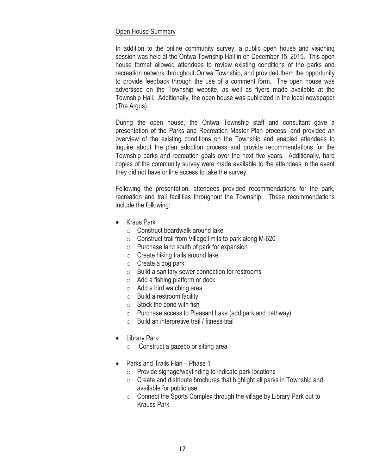### Open House Summary

In addition to the online community survey, a public open house and visioning session was held at the Ontwa Township Hall in on December 15, 2015. This open house format allowed attendees to review existing conditions of the parks and recreation network throughout Ontwa Township, and provided them the opportunity to provide feedback through the use of a comment form. The open house was advertised on the Township website, as well as flyers made available at the Township Hall. Additionally, the open house was publicized in the local newspaper (The Argus).

During the open house, the Ontwa Township staff and consultant gave a presentation of the Parks and Recreation Master Plan process, and provided an overview of the existing conditions on the Township and enabled attendees to inquire about the plan adoption process and provide recommendations for the Township parks and recreation goals over the next five years. Additionally, hard copies of the community survey were made available to the attendees in the event they did not have online access to take the survey.

Following the presentation, attendees provided recommendations for the park, recreation and trail facilities throughout the Township. These recommendations include the following:

- Kraus Park
	- $\circ$  Construct boardwalk around lake
	- o Construct trail from Village limits to park along M-620
	- o Purchase land south of park for expansion
	- o Create hiking trails around lake
	- $\circ$  Create a dog park
	- o Build a sanitary sewer connection for restrooms
	- $\circ$  Add a fishing platform or dock
	- o Add a bird watching area
	- o Build a restroom facility
	- $\circ$  Stock the pond with fish
	- o Purchase access to Pleasant Lake (add park and pathway)
	- o Build an interpretive trail / fitness trail
- Library Park
	- Construct a gazebo or sitting area
- $\bullet$  Parks and Trails Plan Phase 1
	- $\circ$  Provide signage/wayfinding to indicate park locations
	- $\circ$  Create and distribute brochures that highlight all parks in Township and available for public use
	- $\circ$  Connect the Sports Complex through the village by Library Park out to Krauss Park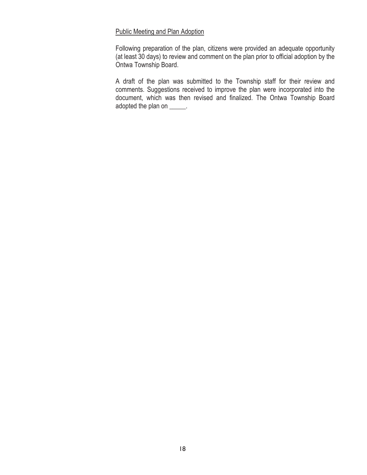### Public Meeting and Plan Adoption

Following preparation of the plan, citizens were provided an adequate opportunity (at least 30 days) to review and comment on the plan prior to official adoption by the Ontwa Township Board.

A draft of the plan was submitted to the Township staff for their review and comments. Suggestions received to improve the plan were incorporated into the document, which was then revised and finalized. The Ontwa Township Board adopted the plan on \_\_\_\_\_.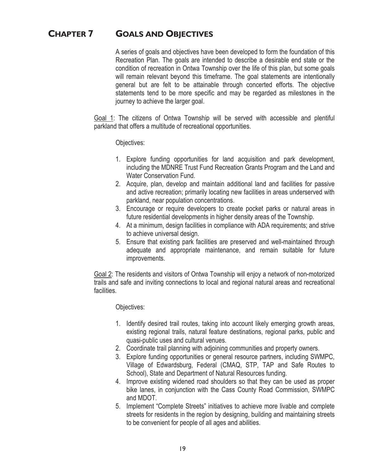### **CHAPTER 7 GOALS AND OBJECTIVES**

A series of goals and objectives have been developed to form the foundation of this Recreation Plan. The goals are intended to describe a desirable end state or the condition of recreation in Ontwa Township over the life of this plan, but some goals will remain relevant beyond this timeframe. The goal statements are intentionally general but are felt to be attainable through concerted efforts. The objective statements tend to be more specific and may be regarded as milestones in the journey to achieve the larger goal.

Goal 1: The citizens of Ontwa Township will be served with accessible and plentiful parkland that offers a multitude of recreational opportunities.

Objectives:

- 1. Explore funding opportunities for land acquisition and park development, including the MDNRE Trust Fund Recreation Grants Program and the Land and Water Conservation Fund.
- 2. Acquire, plan, develop and maintain additional land and facilities for passive and active recreation; primarily locating new facilities in areas underserved with parkland, near population concentrations.
- 3. Encourage or require developers to create pocket parks or natural areas in future residential developments in higher density areas of the Township.
- 4. At a minimum, design facilities in compliance with ADA requirements; and strive to achieve universal design.
- 5. Ensure that existing park facilities are preserved and well-maintained through adequate and appropriate maintenance, and remain suitable for future improvements.

Goal 2: The residents and visitors of Ontwa Township will enjoy a network of non-motorized trails and safe and inviting connections to local and regional natural areas and recreational facilities.

Objectives:

- 1. Identify desired trail routes, taking into account likely emerging growth areas, existing regional trails, natural feature destinations, regional parks, public and quasi-public uses and cultural venues.
- 2. Coordinate trail planning with adjoining communities and property owners.
- 3. Explore funding opportunities or general resource partners, including SWMPC, Village of Edwardsburg, Federal (CMAQ, STP, TAP and Safe Routes to School), State and Department of Natural Resources funding.
- 4. Improve existing widened road shoulders so that they can be used as proper bike lanes, in conjunction with the Cass County Road Commission, SWMPC and MDOT.
- 5. Implement "Complete Streets" initiatives to achieve more livable and complete streets for residents in the region by designing, building and maintaining streets to be convenient for people of all ages and abilities.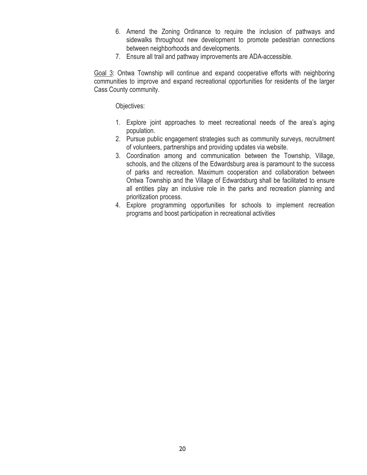- 6. Amend the Zoning Ordinance to require the inclusion of pathways and sidewalks throughout new development to promote pedestrian connections between neighborhoods and developments.
- 7. Ensure all trail and pathway improvements are ADA-accessible.

Goal 3: Ontwa Township will continue and expand cooperative efforts with neighboring communities to improve and expand recreational opportunities for residents of the larger Cass County community.

Objectives:

- 1. Explore joint approaches to meet recreational needs of the area's aging population.
- 2. Pursue public engagement strategies such as community surveys, recruitment of volunteers, partnerships and providing updates via website.
- 3. Coordination among and communication between the Township, Village, schools, and the citizens of the Edwardsburg area is paramount to the success of parks and recreation. Maximum cooperation and collaboration between Ontwa Township and the Village of Edwardsburg shall be facilitated to ensure all entities play an inclusive role in the parks and recreation planning and prioritization process.
- 4. Explore programming opportunities for schools to implement recreation programs and boost participation in recreational activities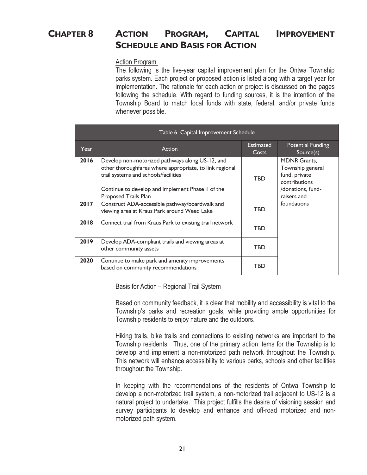### **CHAPTER 8 ACTION PROGRAM, CAPITAL IMPROVEMENT SCHEDULE AND BASIS FOR ACTION**

### Action Program

The following is the five-year capital improvement plan for the Ontwa Township parks system. Each project or proposed action is listed along with a target year for implementation. The rationale for each action or project is discussed on the pages following the schedule. With regard to funding sources, it is the intention of the Township Board to match local funds with state, federal, and/or private funds whenever possible.

| Table 6 Capital Improvement Schedule |                                                                                                                                                                                                                                       |                           |                                                                                                               |  |  |
|--------------------------------------|---------------------------------------------------------------------------------------------------------------------------------------------------------------------------------------------------------------------------------------|---------------------------|---------------------------------------------------------------------------------------------------------------|--|--|
| Year                                 | Action                                                                                                                                                                                                                                | <b>Estimated</b><br>Costs | <b>Potential Funding</b><br>Source(s)                                                                         |  |  |
| 2016                                 | Develop non-motorized pathways along US-12, and<br>other thoroughfares where appropriate, to link regional<br>trail systems and schools/facilities<br>Continue to develop and implement Phase 1 of the<br><b>Proposed Trails Plan</b> | <b>TBD</b>                | <b>MDNR Grants.</b><br>Township general<br>fund, private<br>contributions<br>/donations, fund-<br>raisers and |  |  |
| 2017                                 | Construct ADA-accessible pathway/boardwalk and<br>viewing area at Kraus Park around Weed Lake                                                                                                                                         | <b>TBD</b>                | foundations                                                                                                   |  |  |
| 2018                                 | Connect trail from Kraus Park to existing trail network                                                                                                                                                                               | <b>TBD</b>                |                                                                                                               |  |  |
| 2019                                 | Develop ADA-compliant trails and viewing areas at<br>other community assets                                                                                                                                                           | <b>TBD</b>                |                                                                                                               |  |  |
| 2020                                 | Continue to make park and amenity improvements<br>based on community recommendations                                                                                                                                                  | TBD                       |                                                                                                               |  |  |

Basis for Action – Regional Trail System

Based on community feedback, it is clear that mobility and accessibility is vital to the Township's parks and recreation goals, while providing ample opportunities for Township residents to enjoy nature and the outdoors.

Hiking trails, bike trails and connections to existing networks are important to the Township residents. Thus, one of the primary action items for the Township is to develop and implement a non-motorized path network throughout the Township. This network will enhance accessibility to various parks, schools and other facilities throughout the Township.

In keeping with the recommendations of the residents of Ontwa Township to develop a non-motorized trail system, a non-motorized trail adjacent to US-12 is a natural project to undertake. This project fulfills the desire of visioning session and survey participants to develop and enhance and off-road motorized and nonmotorized path system.